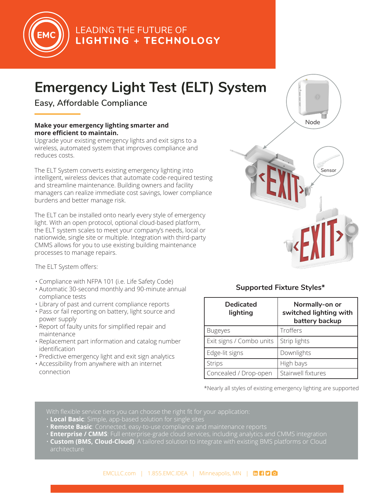

## **LEADING THE FUTURE OF LIGHTING + TECHNOLOGY**

# **Emergency Light Test (ELT) System**

**Easy, Affordable Compliance**

### **Make your emergency lighting smarter and more efficient to maintain.**

Upgrade your existing emergency lights and exit signs to a wireless, automated system that improves compliance and reduces costs.

The ELT System converts existing emergency lighting into intelligent, wireless devices that automate code-required testing and streamline maintenance. Building owners and facility managers can realize immediate cost savings, lower compliance burdens and better manage risk.

The ELT can be installed onto nearly every style of emergency light. With an open protocol, optional cloud-based platform, the ELT system scales to meet your company's needs, local or nationwide, single site or multiple. Integration with third-party CMMS allows for you to use existing building maintenance processes to manage repairs.

The ELT System offers:

- Compliance with NFPA 101 (i.e. Life Safety Code)
- Automatic 30-second monthly and 90-minute annual compliance tests
- Library of past and current compliance reports
- Pass or fail reporting on battery, light source and power supply
- Report of faulty units for simplified repair and maintenance
- Replacement part information and catalog number identification
- Predictive emergency light and exit sign analytics
- Accessibility from anywhere with an internet connection



### **Supported Fixture Styles\***

| <b>Dedicated</b><br>lighting | Normally-on or<br>switched lighting with<br>battery backup |
|------------------------------|------------------------------------------------------------|
| <b>Bugeyes</b>               | Troffers                                                   |
| Exit signs / Combo units     | Strip lights                                               |
| Edge-lit signs               | Downlights                                                 |
| <b>Strips</b>                | High bays                                                  |
| Concealed / Drop-open        | Stairwell fixtures                                         |

\*Nearly all styles of existing emergency lighting are supported

With flexible service tiers you can choose the right fit for your application:

- **Local Basic**: Simple, app-based solution for single sites
- **Remote Basic**: Connected, easy-to-use compliance and maintenance reports
	- **Enterprise / CMMS**: Full enterprise-grade cloud services, including analytics and CMMS integration
	- **Custom (BMS, Cloud-Cloud)**: A tailored solution to integrate with existing BMS platforms or Cloud architecture